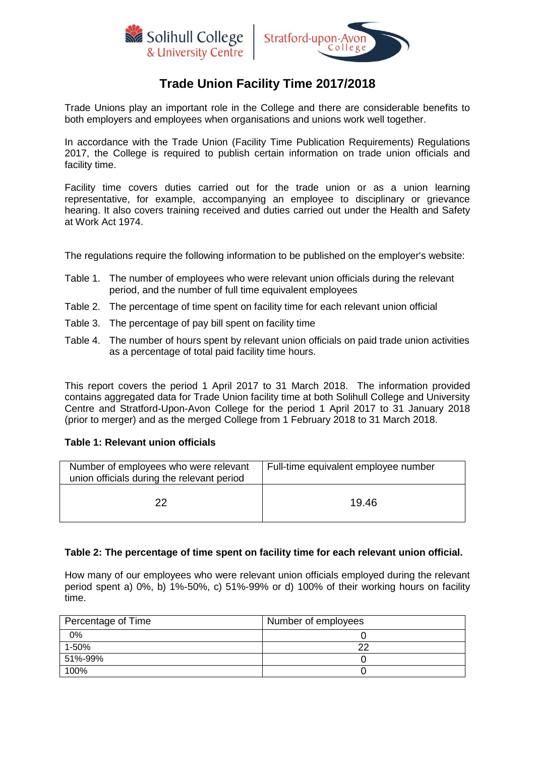



# **Trade Union Facility Time 2017/2018**

Trade Unions play an important role in the College and there are considerable benefits to both employers and employees when organisations and unions work well together.

In accordance with the Trade Union (Facility Time Publication Requirements) Regulations 2017, the College is required to publish certain information on trade union officials and facility time.

Facility time covers duties carried out for the trade union or as a union learning representative, for example, accompanying an employee to disciplinary or grievance hearing. It also covers training received and duties carried out under the Health and Safety at Work Act 1974.

The regulations require the following information to be published on the employer's website:

- Table 1. The number of employees who were relevant union officials during the relevant period, and the number of full time equivalent employees
- Table 2. The percentage of time spent on facility time for each relevant union official
- Table 3. The percentage of pay bill spent on facility time
- Table 4. The number of hours spent by relevant union officials on paid trade union activities as a percentage of total paid facility time hours.

This report covers the period 1 April 2017 to 31 March 2018. The information provided contains aggregated data for Trade Union facility time at both Solihull College and University Centre and Stratford-Upon-Avon College for the period 1 April 2017 to 31 January 2018 (prior to merger) and as the merged College from 1 February 2018 to 31 March 2018.

### **Table 1: Relevant union officials**

| Number of employees who were relevant<br>union officials during the relevant period | Full-time equivalent employee number |
|-------------------------------------------------------------------------------------|--------------------------------------|
| つつ                                                                                  | 19.46                                |

### **Table 2: The percentage of time spent on facility time for each relevant union official.**

How many of our employees who were relevant union officials employed during the relevant period spent a) 0%, b) 1%-50%, c) 51%-99% or d) 100% of their working hours on facility time.

| Percentage of Time | Number of employees |
|--------------------|---------------------|
| 0%                 |                     |
| 1-50%              |                     |
| 51%-99%            |                     |
| 100%               |                     |